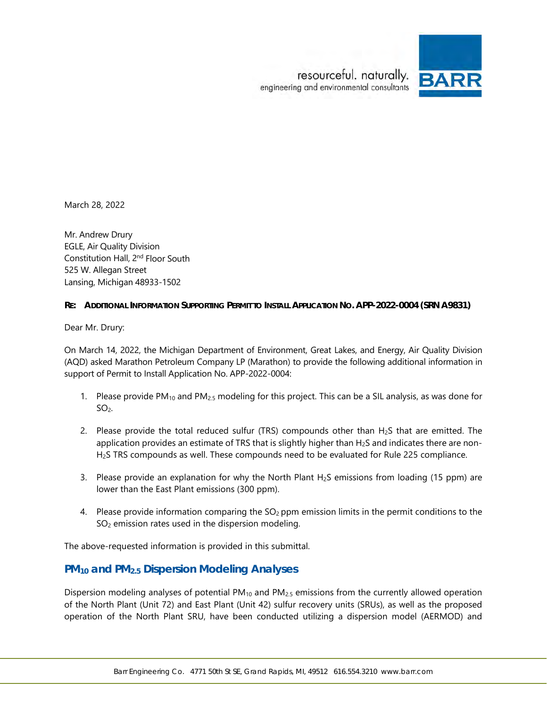

<span id="page-0-0"></span>March 28, 2022

Mr. Andrew Drury EGLE, Air Quality Division Constitution Hall, 2nd Floor South 525 W. Allegan Street Lansing, Michigan 48933-1502

### **RE: ADDITIONAL INFORMATION SUPPORTING PERMIT TO INSTALL APPLICATION NO. APP-2022-0004 (SRN A9831)**

Dear Mr. Drury:

On March 14, 2022, the Michigan Department of Environment, Great Lakes, and Energy, Air Quality Division (AQD) asked Marathon Petroleum Company LP (Marathon) to provide the following additional information in support of Permit to Install Application No. APP-2022-0004:

- 1. Please provide PM<sub>10</sub> and PM<sub>2.5</sub> modeling for this project. This can be a SIL analysis, as was done for  $SO<sub>2</sub>$ .
- 2. Please provide the total reduced sulfur (TRS) compounds other than  $H_2S$  that are emitted. The application provides an estimate of TRS that is slightly higher than H<sub>2</sub>S and indicates there are non-H2S TRS compounds as well. These compounds need to be evaluated for Rule 225 compliance.
- 3. Please provide an explanation for why the North Plant H<sub>2</sub>S emissions from loading (15 ppm) are lower than the East Plant emissions (300 ppm).
- 4. Please provide information comparing the  $SO<sub>2</sub>$  ppm emission limits in the permit conditions to the SO<sub>2</sub> emission rates used in the dispersion modeling.

The above-requested information is provided in this submittal.

## **PM10 and PM2.5 Dispersion Modeling Analyses**

Dispersion modeling analyses of potential  $PM_{10}$  and  $PM_{2.5}$  emissions from the currently allowed operation of the North Plant (Unit 72) and East Plant (Unit 42) sulfur recovery units (SRUs), as well as the proposed operation of the North Plant SRU, have been conducted utilizing a dispersion model (AERMOD) and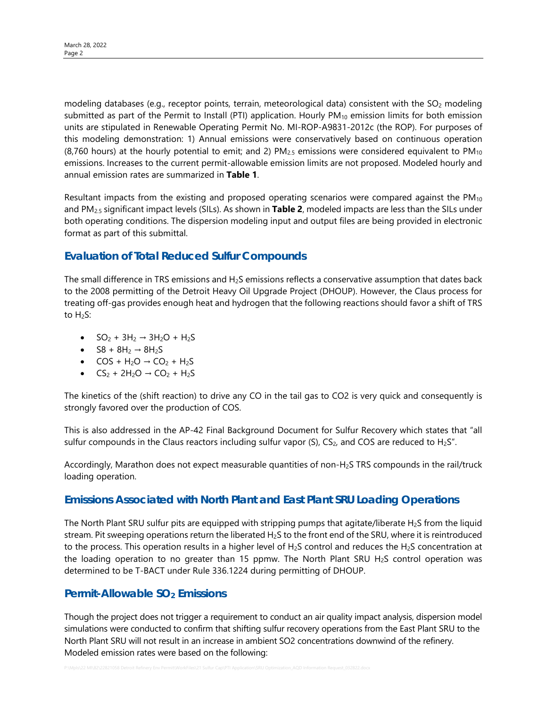modeling databases (e.g., receptor points, terrain, meteorological data) consistent with the  $SO_2$  modeling submitted as part of the Permit to Install (PTI) application. Hourly  $PM_{10}$  emission limits for both emission units are stipulated in Renewable Operating Permit No. MI-ROP-A9831-2012c (the ROP). For purposes of this modeling demonstration: 1) Annual emissions were conservatively based on continuous operation (8,760 hours) at the hourly potential to emit; and 2) PM $_{2.5}$  emissions were considered equivalent to PM $_{10}$ emissions. Increases to the current permit-allowable emission limits are not proposed. Modeled hourly and annual emission rates are summarized in **Table 1**.

Resultant impacts from the existing and proposed operating scenarios were compared against the  $PM_{10}$ and PM2.5 significant impact levels (SILs). As shown in **Table 2**, modeled impacts are less than the SILs under both operating conditions. The dispersion modeling input and output files are being provided in electronic format as part of this submittal.

# **Evaluation of Total Reduced Sulfur Compounds**

The small difference in TRS emissions and  $H_2S$  emissions reflects a conservative assumption that dates back to the 2008 permitting of the Detroit Heavy Oil Upgrade Project (DHOUP). However, the Claus process for treating off-gas provides enough heat and hydrogen that the following reactions should favor a shift of TRS to  $H_2S$ :

- $SO_2 + 3H_2 \rightarrow 3H_2O + H_2S$
- $SB + 8H_2 \rightarrow 8H_2S$
- $COS + H<sub>2</sub>O \rightarrow CO<sub>2</sub> + H<sub>2</sub>S$
- $CS_2 + 2H_2O \rightarrow CO_2 + H_2S$

The kinetics of the (shift reaction) to drive any CO in the tail gas to CO2 is very quick and consequently is strongly favored over the production of COS.

This is also addressed in the AP-42 Final Background Document for Sulfur Recovery which states that "all sulfur compounds in the Claus reactors including sulfur vapor (S),  $CS_2$ , and COS are reduced to H<sub>2</sub>S".

Accordingly, Marathon does not expect measurable quantities of non-H2S TRS compounds in the rail/truck loading operation.

## **Emissions Associated with North Plant and East Plant SRU Loading Operations**

The North Plant SRU sulfur pits are equipped with stripping pumps that agitate/liberate H<sub>2</sub>S from the liquid stream. Pit sweeping operations return the liberated H<sub>2</sub>S to the front end of the SRU, where it is reintroduced to the process. This operation results in a higher level of  $H_2S$  control and reduces the  $H_2S$  concentration at the loading operation to no greater than 15 ppmw. The North Plant SRU H<sub>2</sub>S control operation was determined to be T-BACT under Rule 336.1224 during permitting of DHOUP.

# **Permit-Allowable SO<sub>2</sub> Emissions**

Though the project does not trigger a requirement to conduct an air quality impact analysis, dispersion model simulations were conducted to confirm that shifting sulfur recovery operations from the East Plant SRU to the North Plant SRU will not result in an increase in ambient SO2 concentrations downwind of the refinery. Modeled emission rates were based on the following: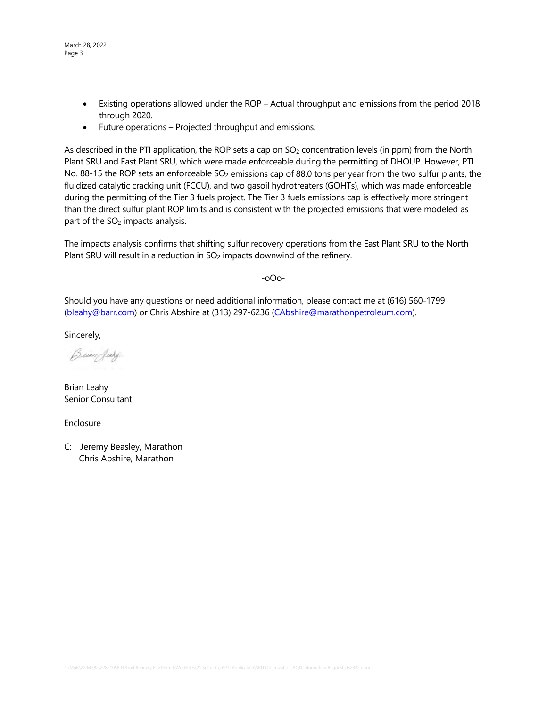- Existing operations allowed under the ROP Actual throughput and emissions from the period 2018 through 2020.
- Future operations Projected throughput and emissions.

As described in the PTI application, the ROP sets a cap on SO<sub>2</sub> concentration levels (in ppm) from the North Plant SRU and East Plant SRU, which were made enforceable during the permitting of DHOUP. However, PTI No. 88-15 the ROP sets an enforceable  $SO_2$  emissions cap of 88.0 tons per year from the two sulfur plants, the fluidized catalytic cracking unit (FCCU), and two gasoil hydrotreaters (GOHTs), which was made enforceable during the permitting of the Tier 3 fuels project. The Tier 3 fuels emissions cap is effectively more stringent than the direct sulfur plant ROP limits and is consistent with the projected emissions that were modeled as part of the SO<sub>2</sub> impacts analysis.

The impacts analysis confirms that shifting sulfur recovery operations from the East Plant SRU to the North Plant SRU will result in a reduction in SO<sub>2</sub> impacts downwind of the refinery.

-oOo-

Should you have any questions or need additional information, please contact me at (616) 560-1799 [\(bleahy@barr.com\)](mailto:bleahy@barr.com) or Chris Abshire at (313) 297-6236 [\(CAbshire@marathonpetroleum.com\)](mailto:CAbshire@marathonpetroleum.com).

Sincerely,

Burgley

Brian Leahy Senior Consultant

Enclosure

C: Jeremy Beasley, Marathon Chris Abshire, Marathon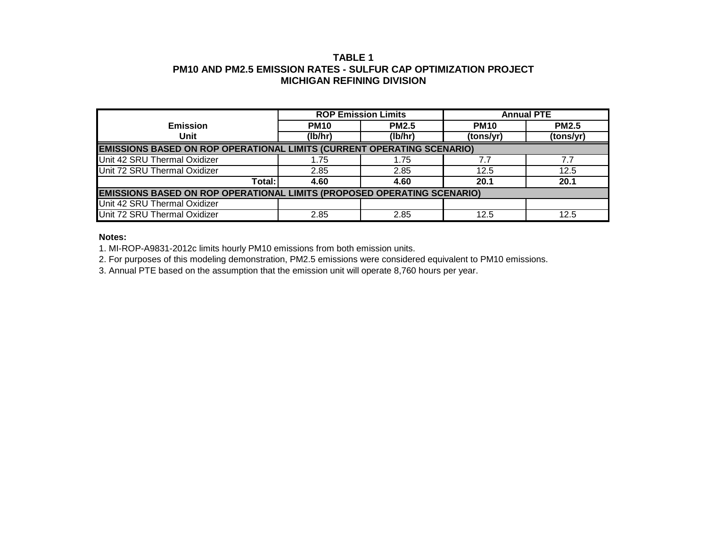## **TABLE 1 PM10 AND PM2.5 EMISSION RATES - SULFUR CAP OPTIMIZATION PROJECT MICHIGAN REFINING DIVISION**

|                                                                                |             | <b>ROP Emission Limits</b> | <b>Annual PTE</b> |              |  |  |  |  |  |  |
|--------------------------------------------------------------------------------|-------------|----------------------------|-------------------|--------------|--|--|--|--|--|--|
| <b>Emission</b>                                                                | <b>PM10</b> | <b>PM2.5</b>               | <b>PM10</b>       | <b>PM2.5</b> |  |  |  |  |  |  |
| Unit                                                                           | (lb/hr)     | (lb/hr)                    | (tons/yr)         | (tons/yr)    |  |  |  |  |  |  |
| <b>EMISSIONS BASED ON ROP OPERATIONAL LIMITS (CURRENT OPERATING SCENARIO)</b>  |             |                            |                   |              |  |  |  |  |  |  |
| Unit 42 SRU Thermal Oxidizer                                                   | 1.75        | 1.75                       | 7.7               | 7.7          |  |  |  |  |  |  |
| Unit 72 SRU Thermal Oxidizer                                                   | 2.85        | 2.85                       | 12.5              | 12.5         |  |  |  |  |  |  |
| Total:                                                                         | 4.60        | 4.60                       | 20.1              | 20.1         |  |  |  |  |  |  |
| <b>EMISSIONS BASED ON ROP OPERATIONAL LIMITS (PROPOSED OPERATING SCENARIO)</b> |             |                            |                   |              |  |  |  |  |  |  |
| Unit 42 SRU Thermal Oxidizer                                                   |             |                            |                   |              |  |  |  |  |  |  |
| Unit 72 SRU Thermal Oxidizer                                                   | 2.85        | 2.85                       | 12.5              | 12.5         |  |  |  |  |  |  |

#### **Notes:**

1. MI-ROP-A9831-2012c limits hourly PM10 emissions from both emission units.

2. For purposes of this modeling demonstration, PM2.5 emissions were considered equivalent to PM10 emissions.

3. Annual PTE based on the assumption that the emission unit will operate 8,760 hours per year.